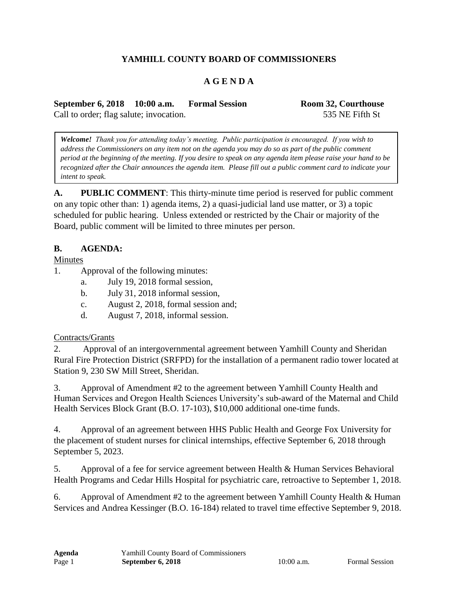# **YAMHILL COUNTY BOARD OF COMMISSIONERS**

## **A G E N D A**

**September 6, 2018 10:00 a.m. Formal Session Room 32, Courthouse** Call to order; flag salute; invocation. 535 NE Fifth St

*Welcome! Thank you for attending today's meeting. Public participation is encouraged. If you wish to address the Commissioners on any item not on the agenda you may do so as part of the public comment period at the beginning of the meeting. If you desire to speak on any agenda item please raise your hand to be recognized after the Chair announces the agenda item. Please fill out a public comment card to indicate your intent to speak.*

**A. PUBLIC COMMENT**: This thirty-minute time period is reserved for public comment on any topic other than: 1) agenda items, 2) a quasi-judicial land use matter, or 3) a topic scheduled for public hearing. Unless extended or restricted by the Chair or majority of the Board, public comment will be limited to three minutes per person.

#### **B. AGENDA:**

Minutes

- 1. Approval of the following minutes:
	- a. July 19, 2018 formal session,
	- b. July 31, 2018 informal session,
	- c. August 2, 2018, formal session and;
	- d. August 7, 2018, informal session.

### Contracts/Grants

2. Approval of an intergovernmental agreement between Yamhill County and Sheridan Rural Fire Protection District (SRFPD) for the installation of a permanent radio tower located at Station 9, 230 SW Mill Street, Sheridan.

3. Approval of Amendment #2 to the agreement between Yamhill County Health and Human Services and Oregon Health Sciences University's sub-award of the Maternal and Child Health Services Block Grant (B.O. 17-103), \$10,000 additional one-time funds.

4. Approval of an agreement between HHS Public Health and George Fox University for the placement of student nurses for clinical internships, effective September 6, 2018 through September 5, 2023.

5. Approval of a fee for service agreement between Health & Human Services Behavioral Health Programs and Cedar Hills Hospital for psychiatric care, retroactive to September 1, 2018.

6. Approval of Amendment #2 to the agreement between Yamhill County Health & Human Services and Andrea Kessinger (B.O. 16-184) related to travel time effective September 9, 2018.